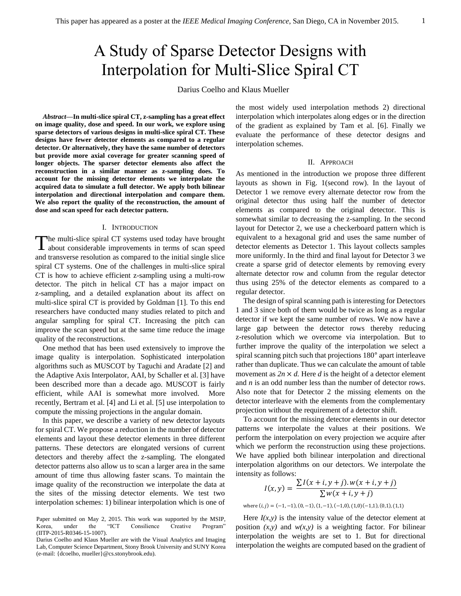# A Study of Sparse Detector Designs with Interpolation for Multi-Slice Spiral CT

Darius Coelho and Klaus Mueller

*Abstract***—In multi-slice spiral CT, z-sampling has a great effect on image quality, dose and speed. In our work, we explore using sparse detectors of various designs in multi-slice spiral CT. These designs have fewer detector elements as compared to a regular detector. Or alternatively, they have the same number of detectors but provide more axial coverage for greater scanning speed of longer objects. The sparser detector elements also affect the reconstruction in a similar manner as z-sampling does. To account for the missing detector elements we interpolate the acquired data to simulate a full detector. We apply both bilinear interpolation and directional interpolation and compare them. We also report the quality of the reconstruction, the amount of dose and scan speed for each detector pattern.** 

### I. INTRODUCTION

he multi-slice spiral CT systems used today have brought The multi-slice spiral CT systems used today have brought about considerable improvements in terms of scan speed and transverse resolution as compared to the initial single slice spiral CT systems. One of the challenges in multi-slice spiral CT is how to achieve efficient z-sampling using a multi-row detector. The pitch in helical CT has a major impact on z-sampling, and a detailed explanation about its affect on multi-slice spiral CT is provided by Goldman [1]. To this end researchers have conducted many studies related to pitch and angular sampling for spiral CT. Increasing the pitch can improve the scan speed but at the same time reduce the image quality of the reconstructions.

One method that has been used extensively to improve the image quality is interpolation. Sophisticated interpolation algorithms such as MUSCOT by Taguchi and Aradate [\[2\]](#page-1-0) and the Adaptive Axis Interpolator, AAI, by Schaller et al. [3] have been described more than a decade ago. MUSCOT is fairly efficient, while AAI is somewhat more involved. More recently, Bertram et al. [4] and Li et al. [5] use interpolation to compute the missing projections in the angular domain.

In this paper, we describe a variety of new detector layouts for spiral CT. We propose a reduction in the number of detector elements and layout these detector elements in three different patterns. These detectors are elongated versions of current detectors and thereby affect the z-sampling. The elongated detector patterns also allow us to scan a larger area in the same amount of time thus allowing faster scans. To maintain the image quality of the reconstruction we interpolate the data at the sites of the missing detector elements. We test two interpolation schemes: 1) bilinear interpolation which is one of the most widely used interpolation methods 2) directional interpolation which interpolates along edges or in the direction of the gradient as explained by Tam et al. [6]. Finally we evaluate the performance of these detector designs and interpolation schemes.

# II. APPROACH

As mentioned in the introduction we propose three different layouts as shown in Fig. 1(second row). In the layout of Detector 1 we remove every alternate detector row from the original detector thus using half the number of detector elements as compared to the original detector. This is somewhat similar to decreasing the z-sampling. In the second layout for Detector 2, we use a checkerboard pattern which is equivalent to a hexagonal grid and uses the same number of detector elements as Detector 1. This layout collects samples more uniformly. In the third and final layout for Detector 3 we create a sparse grid of detector elements by removing every alternate detector row and column from the regular detector thus using 25% of the detector elements as compared to a regular detector.

The design of spiral scanning path is interesting for Detectors 1 and 3 since both of them would be twice as long as a regular detector if we kept the same number of rows. We now have a large gap between the detector rows thereby reducing z-resolution which we overcome via interpolation. But to further improve the quality of the interpolation we select a spiral scanning pitch such that projections 180° apart interleave rather than duplicate. Thus we can calculate the amount of table movement as  $2n \times d$ . Here *d* is the height of a detector element and *n* is an odd number less than the number of detector rows. Also note that for Detector 2 the missing elements on the detector interleave with the elements from the complementary projection without the requirement of a detector shift.

To account for the missing detector elements in our detector patterns we interpolate the values at their positions. We perform the interpolation on every projection we acquire after which we perform the reconstruction using these projections. We have applied both bilinear interpolation and directional interpolation algorithms on our detectors. We interpolate the intensity as follows:

$$
I(x, y) = \frac{\sum I(x + i, y + j) \cdot w(x + i, y + j)}{\sum w(x + i, y + j)}
$$
  
where  $(i, j) = (-1, -1), (0, -1), (1, -1), (-1, 0), (1, 0), (-1, 1), (0, 1), (1, 1)$ 

Here  $I(x, y)$  is the intensity value of the detector element at position  $(x, y)$  and  $w(x, y)$  is a weighting factor. For bilinear interpolation the weights are set to 1. But for directional interpolation the weights are computed based on the gradient of

Paper submitted on May 2, 2015. This work was supported by the MSIP, Korea, under the "ICT Consilience Creative Program" (IITP-2015-R0346-15-1007).

Darius Coelho and Klaus Mueller are with the Visual Analytics and Imaging Lab, Computer Science Department, Stony Brook University and SUNY Korea (e-mail: {dcoelho, mueller}@cs.stonybrook.edu).